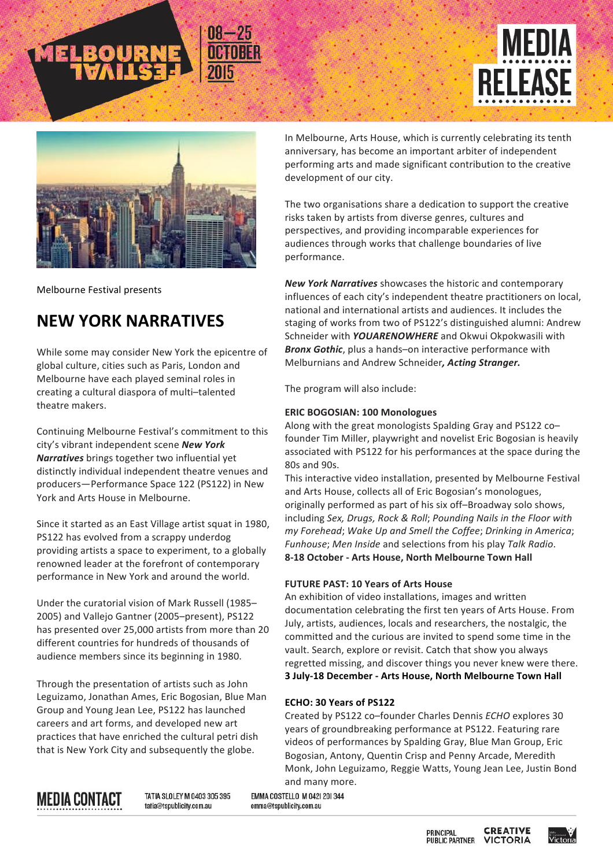



Melbourne Festival presents

## **NEW YORK NARRATIVES**

While some may consider New York the epicentre of global culture, cities such as Paris, London and Melbourne have each played seminal roles in creating a cultural diaspora of multi-talented theatre makers.

Continuing Melbourne Festival's commitment to this city's vibrant independent scene **New York Narratives** brings together two influential yet distinctly individual independent theatre venues and producers-Performance Space 122 (PS122) in New York and Arts House in Melbourne.

Since it started as an East Village artist squat in 1980, PS122 has evolved from a scrappy underdog providing artists a space to experiment, to a globally renowned leader at the forefront of contemporary performance in New York and around the world.

Under the curatorial vision of Mark Russell (1985– 2005) and Vallejo Gantner (2005–present), PS122 has presented over 25,000 artists from more than 20 different countries for hundreds of thousands of audience members since its beginning in 1980.

Through the presentation of artists such as John Leguizamo, Jonathan Ames, Eric Bogosian, Blue Man Group and Young Jean Lee, PS122 has launched careers and art forms, and developed new art practices that have enriched the cultural petri dish that is New York City and subsequently the globe.

In Melbourne, Arts House, which is currently celebrating its tenth anniversary, has become an important arbiter of independent performing arts and made significant contribution to the creative development of our city.

The two organisations share a dedication to support the creative risks taken by artists from diverse genres, cultures and perspectives, and providing incomparable experiences for audiences through works that challenge boundaries of live performance.

*New York Narratives* showcases the historic and contemporary influences of each city's independent theatre practitioners on local, national and international artists and audiences. It includes the staging of works from two of PS122's distinguished alumni: Andrew Schneider with **YOUARENOWHERE** and Okwui Okpokwasili with **Bronx Gothic**, plus a hands–on interactive performance with Melburnians and Andrew Schneider, Acting Stranger.

The program will also include:

### **ERIC BOGOSIAN: 100 Monologues**

Along with the great monologists Spalding Gray and PS122 cofounder Tim Miller, playwright and novelist Eric Bogosian is heavily associated with PS122 for his performances at the space during the 80s and 90s.

This interactive video installation, presented by Melbourne Festival and Arts House, collects all of Eric Bogosian's monologues, originally performed as part of his six off-Broadway solo shows, including Sex, Drugs, Rock & Roll; Pounding Nails in the Floor with *my Forehead*; *Wake Up and Smell the Coffee*; *Drinking in America*; *Funhouse; Men Inside* and selections from his play Talk Radio. **8-18 October - Arts House, North Melbourne Town Hall**

### **FUTURE PAST: 10 Years of Arts House**

An exhibition of video installations, images and written documentation celebrating the first ten years of Arts House. From July, artists, audiences, locals and researchers, the nostalgic, the committed and the curious are invited to spend some time in the vault. Search, explore or revisit. Catch that show you always regretted missing, and discover things you never knew were there. **3 July-18 December - Arts House, North Melbourne Town Hall**

### **ECHO: 30 Years of PS122**

Created by PS122 co-founder Charles Dennis *ECHO* explores 30 years of groundbreaking performance at PS122. Featuring rare videos of performances by Spalding Gray, Blue Man Group, Eric Bogosian, Antony, Quentin Crisp and Penny Arcade, Meredith Monk, John Leguizamo, Reggie Watts, Young Jean Lee, Justin Bond and many more.

# **MEDIA CONTACT**

TATIA SLOLEY M 0403 305 395 tatia@tspublicity.com.au

EMMA COSTELLO M 042| 20| 344 emma@tspublicity.com.au